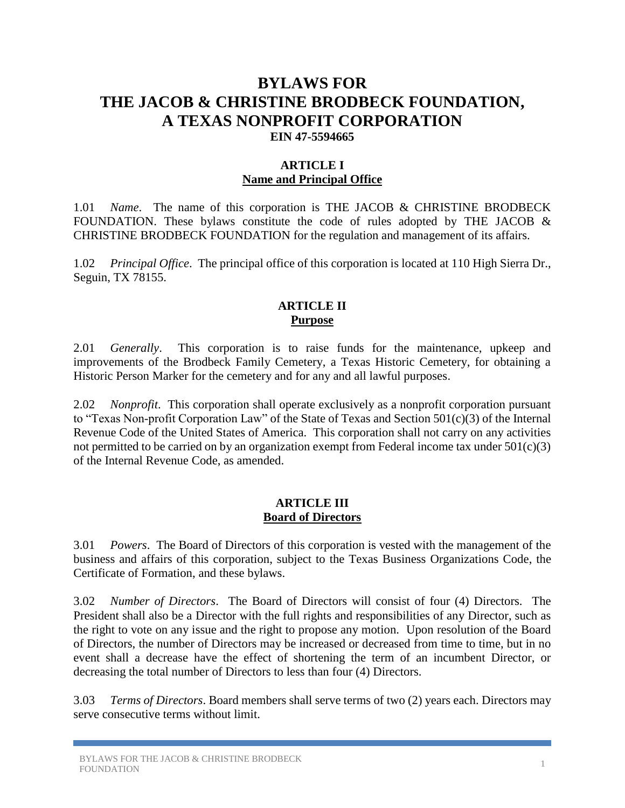# **BYLAWS FOR THE JACOB & CHRISTINE BRODBECK FOUNDATION, A TEXAS NONPROFIT CORPORATION EIN 47-5594665**

### **ARTICLE I Name and Principal Office**

1.01 *Name*. The name of this corporation is THE JACOB & CHRISTINE BRODBECK FOUNDATION. These bylaws constitute the code of rules adopted by THE JACOB  $\&$ CHRISTINE BRODBECK FOUNDATION for the regulation and management of its affairs.

1.02 *Principal Office*. The principal office of this corporation is located at 110 High Sierra Dr., Seguin, TX 78155.

#### **ARTICLE II Purpose**

2.01 *Generally*. This corporation is to raise funds for the maintenance, upkeep and improvements of the Brodbeck Family Cemetery, a Texas Historic Cemetery, for obtaining a Historic Person Marker for the cemetery and for any and all lawful purposes.

2.02 *Nonprofit*. This corporation shall operate exclusively as a nonprofit corporation pursuant to "Texas Non-profit Corporation Law" of the State of Texas and Section 501(c)(3) of the Internal Revenue Code of the United States of America. This corporation shall not carry on any activities not permitted to be carried on by an organization exempt from Federal income tax under  $501(c)(3)$ of the Internal Revenue Code, as amended.

#### **ARTICLE III Board of Directors**

3.01 *Powers*. The Board of Directors of this corporation is vested with the management of the business and affairs of this corporation, subject to the Texas Business Organizations Code, the Certificate of Formation, and these bylaws.

3.02 *Number of Directors*. The Board of Directors will consist of four (4) Directors. The President shall also be a Director with the full rights and responsibilities of any Director, such as the right to vote on any issue and the right to propose any motion. Upon resolution of the Board of Directors, the number of Directors may be increased or decreased from time to time, but in no event shall a decrease have the effect of shortening the term of an incumbent Director, or decreasing the total number of Directors to less than four (4) Directors.

3.03 *Terms of Directors*. Board members shall serve terms of two (2) years each. Directors may serve consecutive terms without limit.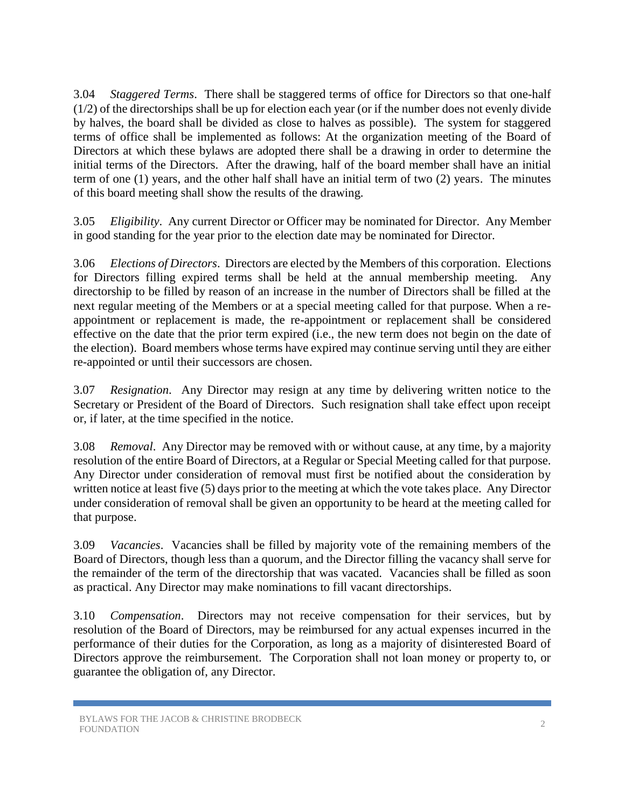3.04 *Staggered Terms*. There shall be staggered terms of office for Directors so that one-half (1/2) of the directorships shall be up for election each year (or if the number does not evenly divide by halves, the board shall be divided as close to halves as possible). The system for staggered terms of office shall be implemented as follows: At the organization meeting of the Board of Directors at which these bylaws are adopted there shall be a drawing in order to determine the initial terms of the Directors. After the drawing, half of the board member shall have an initial term of one (1) years, and the other half shall have an initial term of two (2) years. The minutes of this board meeting shall show the results of the drawing.

3.05 *Eligibility*. Any current Director or Officer may be nominated for Director. Any Member in good standing for the year prior to the election date may be nominated for Director.

3.06 *Elections of Directors*. Directors are elected by the Members of this corporation. Elections for Directors filling expired terms shall be held at the annual membership meeting. Any directorship to be filled by reason of an increase in the number of Directors shall be filled at the next regular meeting of the Members or at a special meeting called for that purpose. When a reappointment or replacement is made, the re-appointment or replacement shall be considered effective on the date that the prior term expired (i.e., the new term does not begin on the date of the election). Board members whose terms have expired may continue serving until they are either re-appointed or until their successors are chosen.

3.07 *Resignation*. Any Director may resign at any time by delivering written notice to the Secretary or President of the Board of Directors. Such resignation shall take effect upon receipt or, if later, at the time specified in the notice.

3.08 *Removal*. Any Director may be removed with or without cause, at any time, by a majority resolution of the entire Board of Directors, at a Regular or Special Meeting called for that purpose. Any Director under consideration of removal must first be notified about the consideration by written notice at least five (5) days prior to the meeting at which the vote takes place. Any Director under consideration of removal shall be given an opportunity to be heard at the meeting called for that purpose.

3.09 *Vacancies*. Vacancies shall be filled by majority vote of the remaining members of the Board of Directors, though less than a quorum, and the Director filling the vacancy shall serve for the remainder of the term of the directorship that was vacated. Vacancies shall be filled as soon as practical. Any Director may make nominations to fill vacant directorships.

3.10 *Compensation*. Directors may not receive compensation for their services, but by resolution of the Board of Directors, may be reimbursed for any actual expenses incurred in the performance of their duties for the Corporation, as long as a majority of disinterested Board of Directors approve the reimbursement. The Corporation shall not loan money or property to, or guarantee the obligation of, any Director.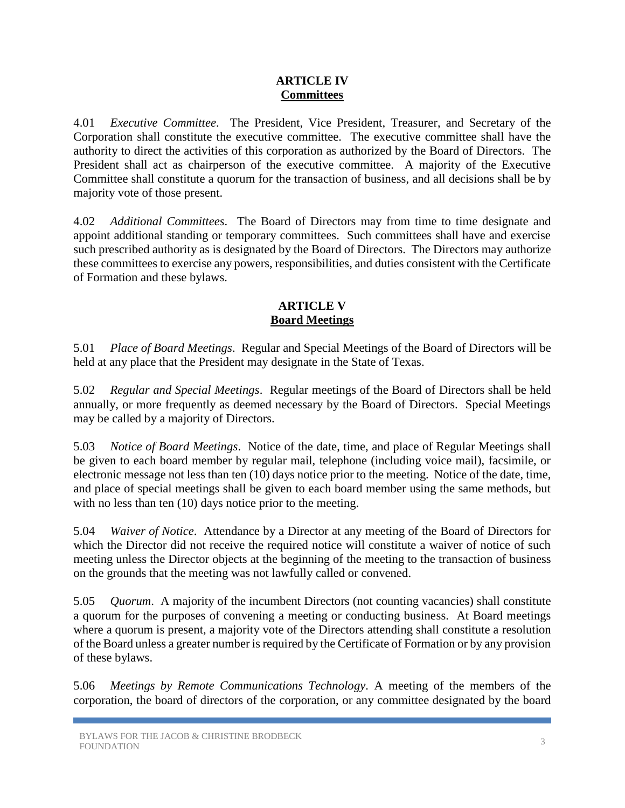#### **ARTICLE IV Committees**

4.01 *Executive Committee*. The President, Vice President, Treasurer, and Secretary of the Corporation shall constitute the executive committee. The executive committee shall have the authority to direct the activities of this corporation as authorized by the Board of Directors. The President shall act as chairperson of the executive committee. A majority of the Executive Committee shall constitute a quorum for the transaction of business, and all decisions shall be by majority vote of those present.

4.02 *Additional Committees*.The Board of Directors may from time to time designate and appoint additional standing or temporary committees. Such committees shall have and exercise such prescribed authority as is designated by the Board of Directors. The Directors may authorize these committees to exercise any powers, responsibilities, and duties consistent with the Certificate of Formation and these bylaws.

#### **ARTICLE V Board Meetings**

5.01 *Place of Board Meetings*. Regular and Special Meetings of the Board of Directors will be held at any place that the President may designate in the State of Texas.

5.02 *Regular and Special Meetings*. Regular meetings of the Board of Directors shall be held annually, or more frequently as deemed necessary by the Board of Directors. Special Meetings may be called by a majority of Directors.

5.03 *Notice of Board Meetings*. Notice of the date, time, and place of Regular Meetings shall be given to each board member by regular mail, telephone (including voice mail), facsimile, or electronic message not less than ten (10) days notice prior to the meeting. Notice of the date, time, and place of special meetings shall be given to each board member using the same methods, but with no less than ten (10) days notice prior to the meeting.

5.04 *Waiver of Notice*. Attendance by a Director at any meeting of the Board of Directors for which the Director did not receive the required notice will constitute a waiver of notice of such meeting unless the Director objects at the beginning of the meeting to the transaction of business on the grounds that the meeting was not lawfully called or convened.

5.05 *Quorum*. A majority of the incumbent Directors (not counting vacancies) shall constitute a quorum for the purposes of convening a meeting or conducting business. At Board meetings where a quorum is present, a majority vote of the Directors attending shall constitute a resolution of the Board unless a greater number is required by the Certificate of Formation or by any provision of these bylaws.

5.06 *Meetings by Remote Communications Technology.* A meeting of the members of the corporation, the board of directors of the corporation, or any committee designated by the board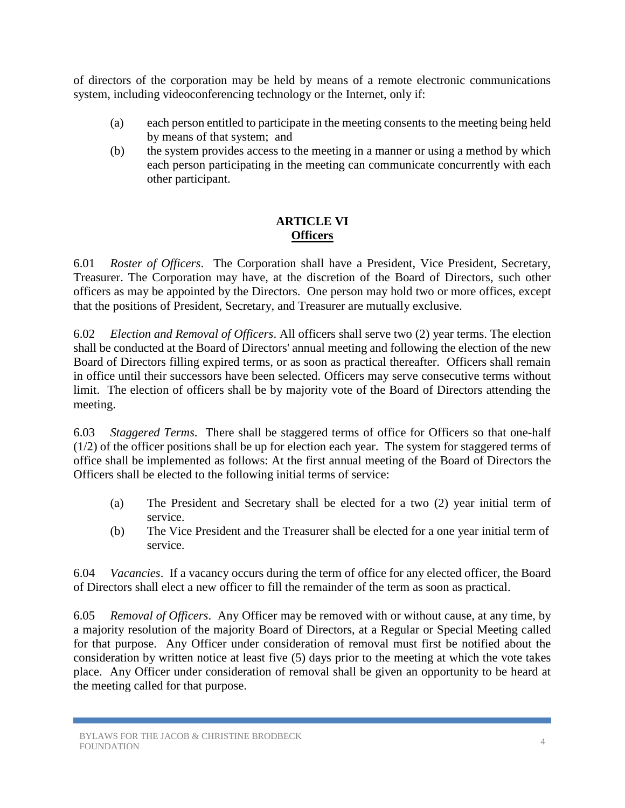of directors of the corporation may be held by means of a remote electronic communications system, including videoconferencing technology or the Internet, only if:

- (a) each person entitled to participate in the meeting consents to the meeting being held by means of that system; and
- (b) the system provides access to the meeting in a manner or using a method by which each person participating in the meeting can communicate concurrently with each other participant.

# **ARTICLE VI Officers**

6.01 *Roster of Officers*. The Corporation shall have a President, Vice President, Secretary, Treasurer. The Corporation may have, at the discretion of the Board of Directors, such other officers as may be appointed by the Directors. One person may hold two or more offices, except that the positions of President, Secretary, and Treasurer are mutually exclusive.

6.02 *Election and Removal of Officers*. All officers shall serve two (2) year terms. The election shall be conducted at the Board of Directors' annual meeting and following the election of the new Board of Directors filling expired terms, or as soon as practical thereafter. Officers shall remain in office until their successors have been selected. Officers may serve consecutive terms without limit. The election of officers shall be by majority vote of the Board of Directors attending the meeting.

6.03 *Staggered Terms*. There shall be staggered terms of office for Officers so that one-half (1/2) of the officer positions shall be up for election each year. The system for staggered terms of office shall be implemented as follows: At the first annual meeting of the Board of Directors the Officers shall be elected to the following initial terms of service:

- (a) The President and Secretary shall be elected for a two (2) year initial term of service.
- (b) The Vice President and the Treasurer shall be elected for a one year initial term of service.

6.04 *Vacancies*. If a vacancy occurs during the term of office for any elected officer, the Board of Directors shall elect a new officer to fill the remainder of the term as soon as practical.

6.05 *Removal of Officers*. Any Officer may be removed with or without cause, at any time, by a majority resolution of the majority Board of Directors, at a Regular or Special Meeting called for that purpose. Any Officer under consideration of removal must first be notified about the consideration by written notice at least five (5) days prior to the meeting at which the vote takes place. Any Officer under consideration of removal shall be given an opportunity to be heard at the meeting called for that purpose.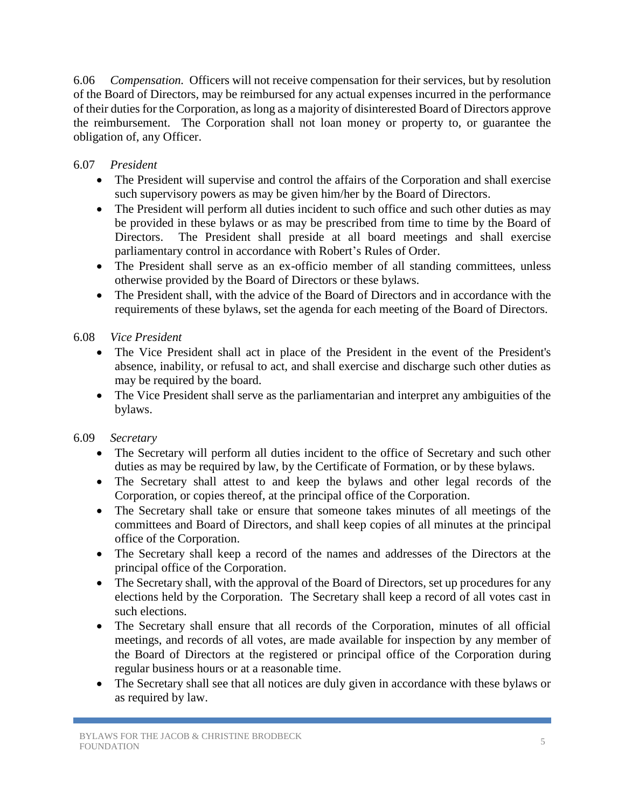6.06 *Compensation.* Officers will not receive compensation for their services, but by resolution of the Board of Directors, may be reimbursed for any actual expenses incurred in the performance of their duties for the Corporation, as long as a majority of disinterested Board of Directors approve the reimbursement. The Corporation shall not loan money or property to, or guarantee the obligation of, any Officer.

### 6.07 *President*

- The President will supervise and control the affairs of the Corporation and shall exercise such supervisory powers as may be given him/her by the Board of Directors.
- The President will perform all duties incident to such office and such other duties as may be provided in these bylaws or as may be prescribed from time to time by the Board of Directors. The President shall preside at all board meetings and shall exercise parliamentary control in accordance with Robert's Rules of Order.
- The President shall serve as an ex-officio member of all standing committees, unless otherwise provided by the Board of Directors or these bylaws.
- The President shall, with the advice of the Board of Directors and in accordance with the requirements of these bylaws, set the agenda for each meeting of the Board of Directors.

### 6.08 *Vice President*

- The Vice President shall act in place of the President in the event of the President's absence, inability, or refusal to act, and shall exercise and discharge such other duties as may be required by the board.
- The Vice President shall serve as the parliamentarian and interpret any ambiguities of the bylaws.

# 6.09 *Secretary*

- The Secretary will perform all duties incident to the office of Secretary and such other duties as may be required by law, by the Certificate of Formation, or by these bylaws.
- The Secretary shall attest to and keep the bylaws and other legal records of the Corporation, or copies thereof, at the principal office of the Corporation.
- The Secretary shall take or ensure that someone takes minutes of all meetings of the committees and Board of Directors, and shall keep copies of all minutes at the principal office of the Corporation.
- The Secretary shall keep a record of the names and addresses of the Directors at the principal office of the Corporation.
- The Secretary shall, with the approval of the Board of Directors, set up procedures for any elections held by the Corporation. The Secretary shall keep a record of all votes cast in such elections.
- The Secretary shall ensure that all records of the Corporation, minutes of all official meetings, and records of all votes, are made available for inspection by any member of the Board of Directors at the registered or principal office of the Corporation during regular business hours or at a reasonable time.
- The Secretary shall see that all notices are duly given in accordance with these bylaws or as required by law.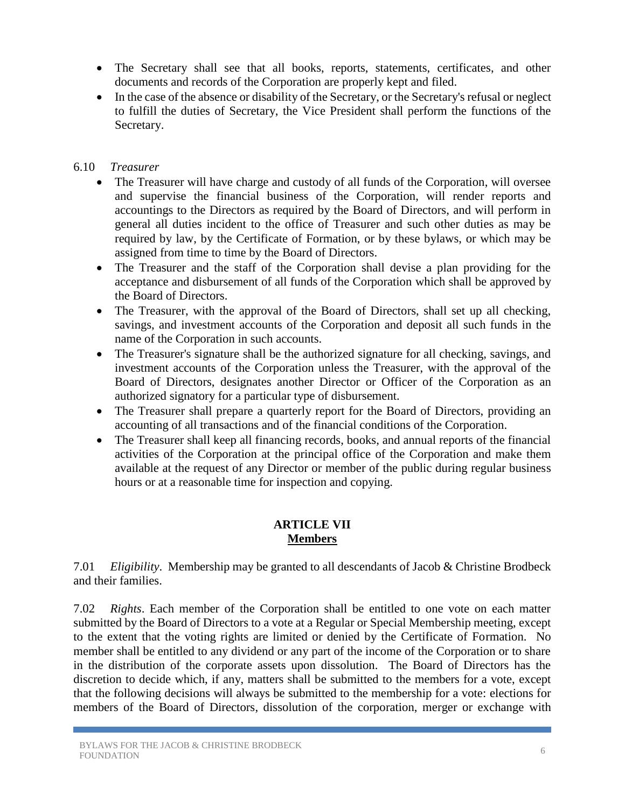- The Secretary shall see that all books, reports, statements, certificates, and other documents and records of the Corporation are properly kept and filed.
- In the case of the absence or disability of the Secretary, or the Secretary's refusal or neglect to fulfill the duties of Secretary, the Vice President shall perform the functions of the Secretary.

### 6.10 *Treasurer*

- The Treasurer will have charge and custody of all funds of the Corporation, will oversee and supervise the financial business of the Corporation, will render reports and accountings to the Directors as required by the Board of Directors, and will perform in general all duties incident to the office of Treasurer and such other duties as may be required by law, by the Certificate of Formation, or by these bylaws, or which may be assigned from time to time by the Board of Directors.
- The Treasurer and the staff of the Corporation shall devise a plan providing for the acceptance and disbursement of all funds of the Corporation which shall be approved by the Board of Directors.
- The Treasurer, with the approval of the Board of Directors, shall set up all checking, savings, and investment accounts of the Corporation and deposit all such funds in the name of the Corporation in such accounts.
- The Treasurer's signature shall be the authorized signature for all checking, savings, and investment accounts of the Corporation unless the Treasurer, with the approval of the Board of Directors, designates another Director or Officer of the Corporation as an authorized signatory for a particular type of disbursement.
- The Treasurer shall prepare a quarterly report for the Board of Directors, providing an accounting of all transactions and of the financial conditions of the Corporation.
- The Treasurer shall keep all financing records, books, and annual reports of the financial activities of the Corporation at the principal office of the Corporation and make them available at the request of any Director or member of the public during regular business hours or at a reasonable time for inspection and copying.

# **ARTICLE VII Members**

7.01 *Eligibility*. Membership may be granted to all descendants of Jacob & Christine Brodbeck and their families.

7.02 *Rights*. Each member of the Corporation shall be entitled to one vote on each matter submitted by the Board of Directors to a vote at a Regular or Special Membership meeting, except to the extent that the voting rights are limited or denied by the Certificate of Formation. No member shall be entitled to any dividend or any part of the income of the Corporation or to share in the distribution of the corporate assets upon dissolution. The Board of Directors has the discretion to decide which, if any, matters shall be submitted to the members for a vote, except that the following decisions will always be submitted to the membership for a vote: elections for members of the Board of Directors, dissolution of the corporation, merger or exchange with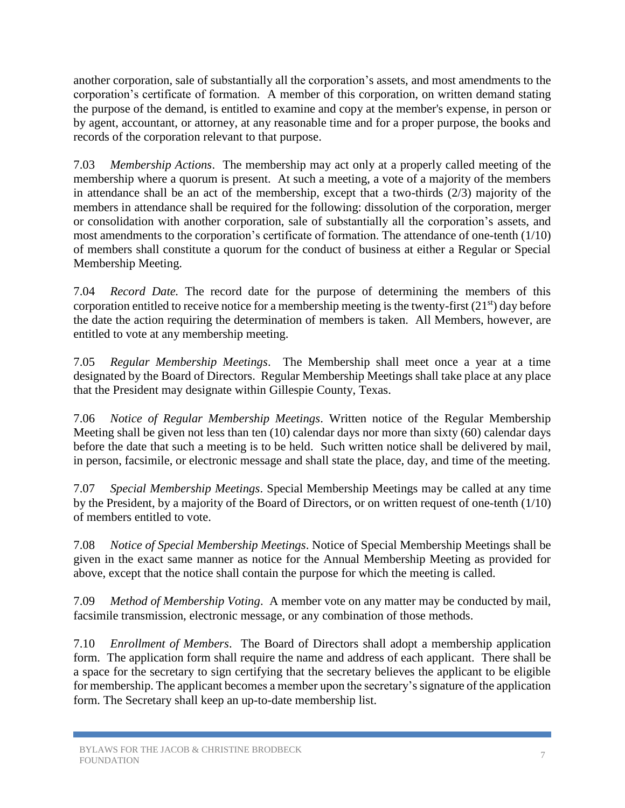another corporation, sale of substantially all the corporation's assets, and most amendments to the corporation's certificate of formation. A member of this corporation, on written demand stating the purpose of the demand, is entitled to examine and copy at the member's expense, in person or by agent, accountant, or attorney, at any reasonable time and for a proper purpose, the books and records of the corporation relevant to that purpose.

7.03 *Membership Actions*. The membership may act only at a properly called meeting of the membership where a quorum is present. At such a meeting, a vote of a majority of the members in attendance shall be an act of the membership, except that a two-thirds (2/3) majority of the members in attendance shall be required for the following: dissolution of the corporation, merger or consolidation with another corporation, sale of substantially all the corporation's assets, and most amendments to the corporation's certificate of formation. The attendance of one-tenth (1/10) of members shall constitute a quorum for the conduct of business at either a Regular or Special Membership Meeting.

7.04 *Record Date.* The record date for the purpose of determining the members of this corporation entitled to receive notice for a membership meeting is the twenty-first  $(21<sup>st</sup>)$  day before the date the action requiring the determination of members is taken. All Members, however, are entitled to vote at any membership meeting.

7.05 *Regular Membership Meetings*. The Membership shall meet once a year at a time designated by the Board of Directors. Regular Membership Meetings shall take place at any place that the President may designate within Gillespie County, Texas.

7.06 *Notice of Regular Membership Meetings*. Written notice of the Regular Membership Meeting shall be given not less than ten (10) calendar days nor more than sixty (60) calendar days before the date that such a meeting is to be held. Such written notice shall be delivered by mail, in person, facsimile, or electronic message and shall state the place, day, and time of the meeting.

7.07 *Special Membership Meetings*. Special Membership Meetings may be called at any time by the President, by a majority of the Board of Directors, or on written request of one-tenth (1/10) of members entitled to vote.

7.08 *Notice of Special Membership Meetings*. Notice of Special Membership Meetings shall be given in the exact same manner as notice for the Annual Membership Meeting as provided for above, except that the notice shall contain the purpose for which the meeting is called.

7.09 *Method of Membership Voting*. A member vote on any matter may be conducted by mail, facsimile transmission, electronic message, or any combination of those methods.

7.10 *Enrollment of Members*. The Board of Directors shall adopt a membership application form. The application form shall require the name and address of each applicant. There shall be a space for the secretary to sign certifying that the secretary believes the applicant to be eligible for membership. The applicant becomes a member upon the secretary's signature of the application form. The Secretary shall keep an up-to-date membership list.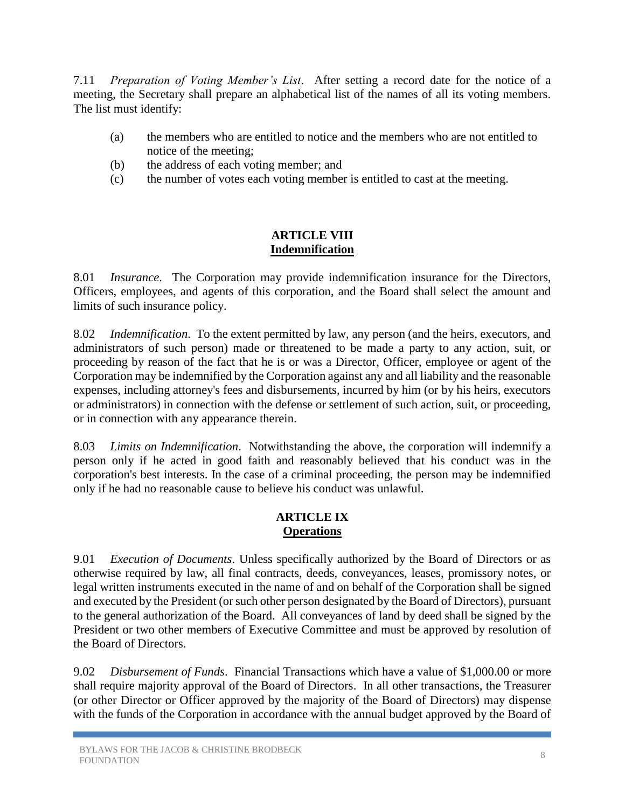7.11 *Preparation of Voting Member's List*. After setting a record date for the notice of a meeting, the Secretary shall prepare an alphabetical list of the names of all its voting members. The list must identify:

- (a) the members who are entitled to notice and the members who are not entitled to notice of the meeting;
- (b) the address of each voting member; and
- (c) the number of votes each voting member is entitled to cast at the meeting.

### **ARTICLE VIII Indemnification**

8.01 *Insurance*. The Corporation may provide indemnification insurance for the Directors, Officers, employees, and agents of this corporation, and the Board shall select the amount and limits of such insurance policy.

8.02 *Indemnification*. To the extent permitted by law, any person (and the heirs, executors, and administrators of such person) made or threatened to be made a party to any action, suit, or proceeding by reason of the fact that he is or was a Director, Officer, employee or agent of the Corporation may be indemnified by the Corporation against any and all liability and the reasonable expenses, including attorney's fees and disbursements, incurred by him (or by his heirs, executors or administrators) in connection with the defense or settlement of such action, suit, or proceeding, or in connection with any appearance therein.

8.03 *Limits on Indemnification*. Notwithstanding the above, the corporation will indemnify a person only if he acted in good faith and reasonably believed that his conduct was in the corporation's best interests. In the case of a criminal proceeding, the person may be indemnified only if he had no reasonable cause to believe his conduct was unlawful.

# **ARTICLE IX Operations**

9.01 *Execution of Documents*. Unless specifically authorized by the Board of Directors or as otherwise required by law, all final contracts, deeds, conveyances, leases, promissory notes, or legal written instruments executed in the name of and on behalf of the Corporation shall be signed and executed by the President (or such other person designated by the Board of Directors), pursuant to the general authorization of the Board. All conveyances of land by deed shall be signed by the President or two other members of Executive Committee and must be approved by resolution of the Board of Directors.

9.02 *Disbursement of Funds*. Financial Transactions which have a value of \$1,000.00 or more shall require majority approval of the Board of Directors. In all other transactions, the Treasurer (or other Director or Officer approved by the majority of the Board of Directors) may dispense with the funds of the Corporation in accordance with the annual budget approved by the Board of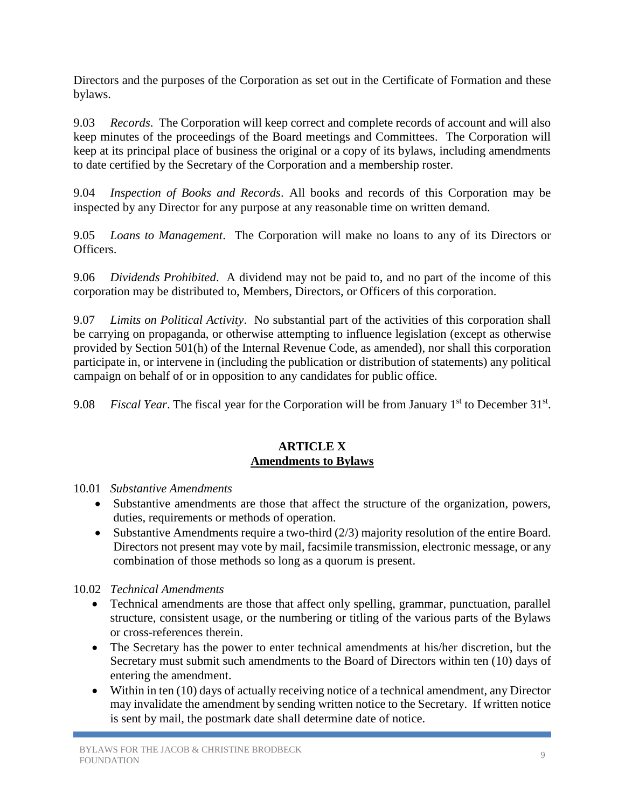Directors and the purposes of the Corporation as set out in the Certificate of Formation and these bylaws.

9.03 *Records*. The Corporation will keep correct and complete records of account and will also keep minutes of the proceedings of the Board meetings and Committees. The Corporation will keep at its principal place of business the original or a copy of its bylaws, including amendments to date certified by the Secretary of the Corporation and a membership roster.

9.04 *Inspection of Books and Records*. All books and records of this Corporation may be inspected by any Director for any purpose at any reasonable time on written demand.

9.05 *Loans to Management*. The Corporation will make no loans to any of its Directors or Officers.

9.06 *Dividends Prohibited*. A dividend may not be paid to, and no part of the income of this corporation may be distributed to, Members, Directors, or Officers of this corporation.

9.07 *Limits on Political Activity*. No substantial part of the activities of this corporation shall be carrying on propaganda, or otherwise attempting to influence legislation (except as otherwise provided by Section 501(h) of the Internal Revenue Code, as amended), nor shall this corporation participate in, or intervene in (including the publication or distribution of statements) any political campaign on behalf of or in opposition to any candidates for public office.

9.08 *Fiscal Year*. The fiscal year for the Corporation will be from January 1<sup>st</sup> to December 31<sup>st</sup>.

### **ARTICLE X Amendments to Bylaws**

- 10.01 *Substantive Amendments*
	- Substantive amendments are those that affect the structure of the organization, powers, duties, requirements or methods of operation.
	- Substantive Amendments require a two-third (2/3) majority resolution of the entire Board. Directors not present may vote by mail, facsimile transmission, electronic message, or any combination of those methods so long as a quorum is present.

10.02 *Technical Amendments*

- Technical amendments are those that affect only spelling, grammar, punctuation, parallel structure, consistent usage, or the numbering or titling of the various parts of the Bylaws or cross-references therein.
- The Secretary has the power to enter technical amendments at his/her discretion, but the Secretary must submit such amendments to the Board of Directors within ten (10) days of entering the amendment.
- Within in ten (10) days of actually receiving notice of a technical amendment, any Director may invalidate the amendment by sending written notice to the Secretary. If written notice is sent by mail, the postmark date shall determine date of notice.